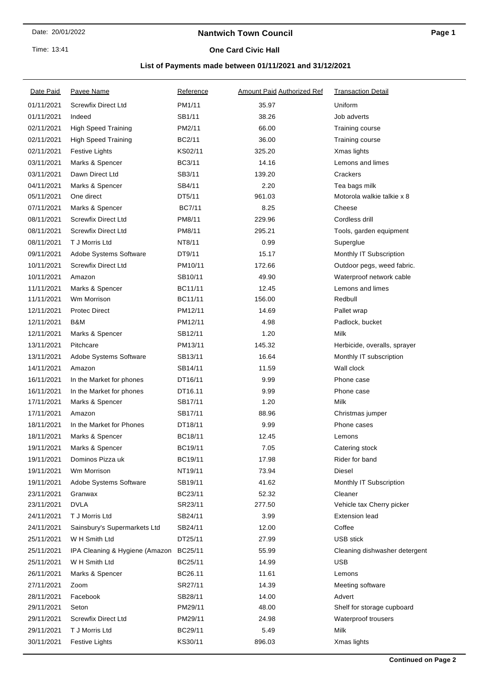#### Time: 13:41

### **Nantwich Town Council**

### **One Card Civic Hall**

## **List of Payments made between 01/11/2021 and 31/12/2021**

| Date Paid  | Payee Name                     | Reference     | <b>Amount Paid Authorized Ref</b> | <b>Transaction Detail</b>     |
|------------|--------------------------------|---------------|-----------------------------------|-------------------------------|
| 01/11/2021 | <b>Screwfix Direct Ltd</b>     | PM1/11        | 35.97                             | Uniform                       |
| 01/11/2021 | Indeed                         | SB1/11        | 38.26                             | Job adverts                   |
| 02/11/2021 | <b>High Speed Training</b>     | PM2/11        | 66.00                             | Training course               |
| 02/11/2021 | <b>High Speed Training</b>     | BC2/11        | 36.00                             | Training course               |
| 02/11/2021 | <b>Festive Lights</b>          | KS02/11       | 325.20                            | Xmas lights                   |
| 03/11/2021 | Marks & Spencer                | BC3/11        | 14.16                             | Lemons and limes              |
| 03/11/2021 | Dawn Direct Ltd                | SB3/11        | 139.20                            | Crackers                      |
| 04/11/2021 | Marks & Spencer                | SB4/11        | 2.20                              | Tea bags milk                 |
| 05/11/2021 | One direct                     | DT5/11        | 961.03                            | Motorola walkie talkie x 8    |
| 07/11/2021 | Marks & Spencer                | <b>BC7/11</b> | 8.25                              | Cheese                        |
| 08/11/2021 | <b>Screwfix Direct Ltd</b>     | PM8/11        | 229.96                            | Cordless drill                |
| 08/11/2021 | <b>Screwfix Direct Ltd</b>     | PM8/11        | 295.21                            | Tools, garden equipment       |
| 08/11/2021 | T J Morris Ltd                 | NT8/11        | 0.99                              | Superglue                     |
| 09/11/2021 | Adobe Systems Software         | DT9/11        | 15.17                             | Monthly IT Subscription       |
| 10/11/2021 | <b>Screwfix Direct Ltd</b>     | PM10/11       | 172.66                            | Outdoor pegs, weed fabric.    |
| 10/11/2021 | Amazon                         | SB10/11       | 49.90                             | Waterproof network cable      |
| 11/11/2021 | Marks & Spencer                | BC11/11       | 12.45                             | Lemons and limes              |
| 11/11/2021 | Wm Morrison                    | BC11/11       | 156.00                            | Redbull                       |
| 12/11/2021 | <b>Protec Direct</b>           | PM12/11       | 14.69                             | Pallet wrap                   |
| 12/11/2021 | B&M                            | PM12/11       | 4.98                              | Padlock, bucket               |
| 12/11/2021 | Marks & Spencer                | SB12/11       | 1.20                              | <b>Milk</b>                   |
| 13/11/2021 | Pitchcare                      | PM13/11       | 145.32                            | Herbicide, overalls, sprayer  |
| 13/11/2021 | Adobe Systems Software         | SB13/11       | 16.64                             | Monthly IT subscription       |
| 14/11/2021 | Amazon                         | SB14/11       | 11.59                             | Wall clock                    |
| 16/11/2021 | In the Market for phones       | DT16/11       | 9.99                              | Phone case                    |
| 16/11/2021 | In the Market for phones       | DT16.11       | 9.99                              | Phone case                    |
| 17/11/2021 | Marks & Spencer                | SB17/11       | 1.20                              | Milk                          |
| 17/11/2021 | Amazon                         | SB17/11       | 88.96                             | Christmas jumper              |
| 18/11/2021 | In the Market for Phones       | DT18/11       | 9.99                              | Phone cases                   |
| 18/11/2021 | Marks & Spencer                | BC18/11       | 12.45                             | Lemons                        |
| 19/11/2021 | Marks & Spencer                | BC19/11       | 7.05                              | Catering stock                |
| 19/11/2021 | Dominos Pizza uk               | BC19/11       | 17.98                             | Rider for band                |
| 19/11/2021 | Wm Morrison                    | NT19/11       | 73.94                             | Diesel                        |
| 19/11/2021 | Adobe Systems Software         | SB19/11       | 41.62                             | Monthly IT Subscription       |
| 23/11/2021 | Granwax                        | BC23/11       | 52.32                             | Cleaner                       |
| 23/11/2021 | <b>DVLA</b>                    | SR23/11       | 277.50                            | Vehicle tax Cherry picker     |
| 24/11/2021 | T J Morris Ltd                 | SB24/11       | 3.99                              | <b>Extension lead</b>         |
| 24/11/2021 | Sainsbury's Supermarkets Ltd   | SB24/11       | 12.00                             | Coffee                        |
| 25/11/2021 | W H Smith Ltd                  | DT25/11       | 27.99                             | <b>USB stick</b>              |
| 25/11/2021 | IPA Cleaning & Hygiene (Amazon | BC25/11       | 55.99                             | Cleaning dishwasher detergent |
| 25/11/2021 | W H Smith Ltd                  | BC25/11       | 14.99                             | <b>USB</b>                    |
| 26/11/2021 | Marks & Spencer                | BC26.11       | 11.61                             | Lemons                        |
| 27/11/2021 | Zoom                           | SR27/11       | 14.39                             | Meeting software              |
| 28/11/2021 | Facebook                       | SB28/11       | 14.00                             | Advert                        |
| 29/11/2021 | Seton                          | PM29/11       | 48.00                             | Shelf for storage cupboard    |
| 29/11/2021 | <b>Screwfix Direct Ltd</b>     | PM29/11       | 24.98                             | Waterproof trousers           |
| 29/11/2021 | T J Morris Ltd                 | BC29/11       | 5.49                              | Milk                          |
| 30/11/2021 | <b>Festive Lights</b>          | KS30/11       | 896.03                            | Xmas lights                   |
|            |                                |               |                                   |                               |